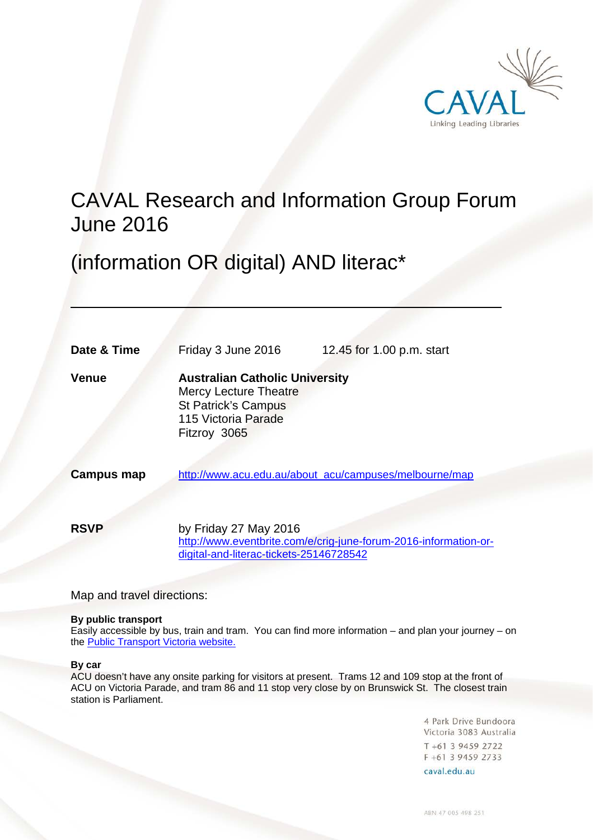

# CAVAL Research and Information Group Forum June 2016

(information OR digital) AND literac\*

| Date & Time       | Friday 3 June 2016                                                                                                                         | 12.45 for 1.00 p.m. start                                        |
|-------------------|--------------------------------------------------------------------------------------------------------------------------------------------|------------------------------------------------------------------|
| Venue             | <b>Australian Catholic University</b><br><b>Mercy Lecture Theatre</b><br><b>St Patrick's Campus</b><br>115 Victoria Parade<br>Fitzroy 3065 |                                                                  |
| <b>Campus map</b> |                                                                                                                                            | http://www.acu.edu.au/about_acu/campuses/melbourne/map           |
| <b>RSVP</b>       | by Friday 27 May 2016<br>digital-and-literac-tickets-25146728542                                                                           | http://www.eventbrite.com/e/crig-june-forum-2016-information-or- |

Map and travel directions:

#### **By public transport**

Easily accessible by bus, train and tram. You can find more information – and plan your journey – on the [Public Transport Victoria website.](http://ptv.vic.gov.au/)

#### **By car**

ACU doesn't have any onsite parking for visitors at present. Trams 12 and 109 stop at the front of ACU on Victoria Parade, and tram 86 and 11 stop very close by on Brunswick St. The closest train station is Parliament.

> 4 Park Drive Bundoora Victoria 3083 Australia T +61 3 9459 2722 F +61 3 9459 2733

caval.edu.au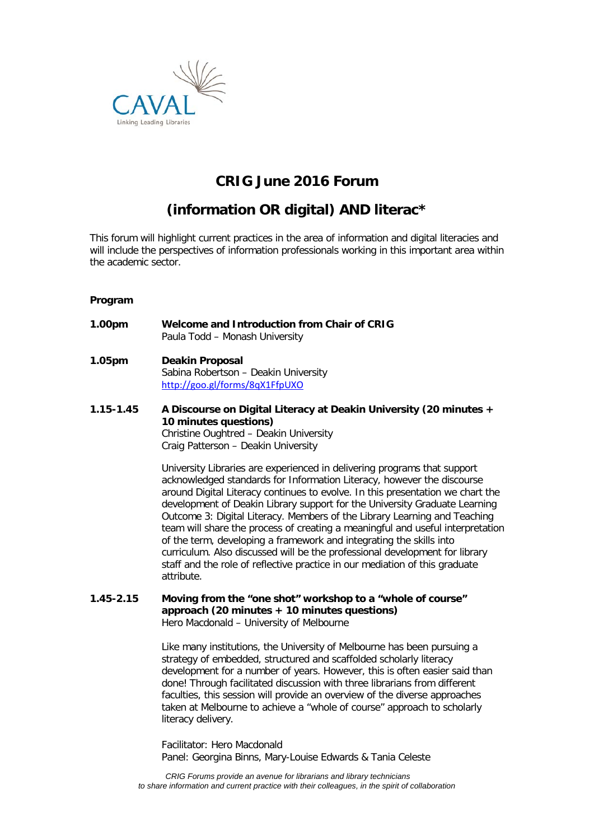

# **CRIG June 2016 Forum**

# **(information OR digital) AND literac\***

This forum will highlight current practices in the area of information and digital literacies and will include the perspectives of information professionals working in this important area within the academic sector.

#### **Program**

- **1.00pm Welcome and Introduction from Chair of CRIG** Paula Todd – Monash University
- **1.05pm Deakin Proposal** Sabina Robertson – Deakin University <http://goo.gl/forms/8qX1FfpUXO>
- **1.15-1.45 A Discourse on Digital Literacy at Deakin University (20 minutes + 10 minutes questions)** Christine Oughtred – Deakin University Craig Patterson – Deakin University

University Libraries are experienced in delivering programs that support acknowledged standards for Information Literacy, however the discourse around Digital Literacy continues to evolve. In this presentation we chart the development of Deakin Library support for the University Graduate Learning Outcome 3: Digital Literacy. Members of the Library Learning and Teaching team will share the process of creating a meaningful and useful interpretation of the term, developing a framework and integrating the skills into curriculum. Also discussed will be the professional development for library staff and the role of reflective practice in our mediation of this graduate attribute.

**1.45-2.15 Moving from the "one shot" workshop to a "whole of course" approach (20 minutes + 10 minutes questions)** Hero Macdonald – University of Melbourne

> Like many institutions, the University of Melbourne has been pursuing a strategy of embedded, structured and scaffolded scholarly literacy development for a number of years. However, this is often easier said than done! Through facilitated discussion with three librarians from different faculties, this session will provide an overview of the diverse approaches taken at Melbourne to achieve a "whole of course" approach to scholarly literacy delivery.

Facilitator: Hero Macdonald Panel: Georgina Binns, Mary-Louise Edwards & Tania Celeste

*CRIG Forums provide an avenue for librarians and library technicians to share information and current practice with their colleagues, in the spirit of collaboration*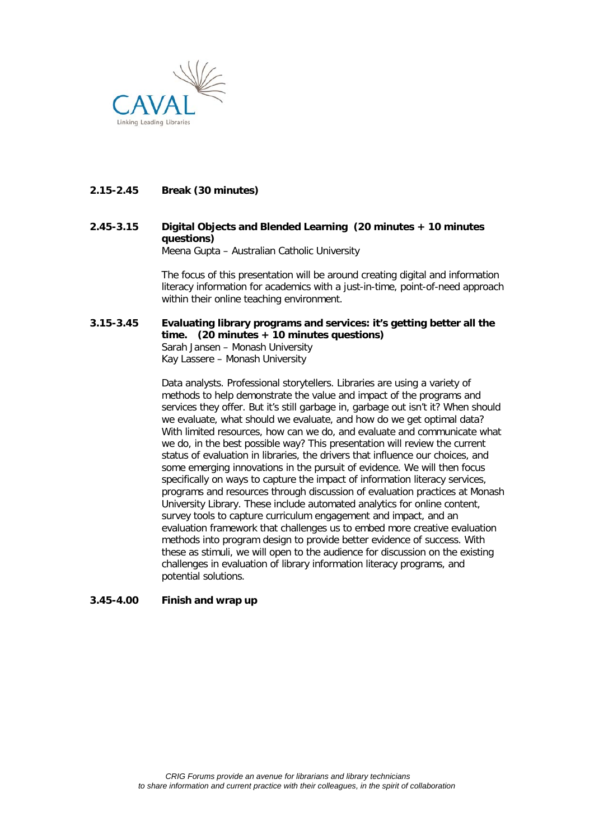

#### **2.15-2.45 Break (30 minutes)**

# **2.45-3.15 Digital Objects and Blended Learning (20 minutes + 10 minutes questions)**

Meena Gupta – Australian Catholic University

The focus of this presentation will be around creating digital and information literacy information for academics with a just-in-time, point-of-need approach within their online teaching environment.

#### **3.15-3.45 Evaluating library programs and services: it's getting better all the time. (20 minutes + 10 minutes questions)** Sarah Jansen – Monash University Kay Lassere – Monash University

Data analysts. Professional storytellers. Libraries are using a variety of methods to help demonstrate the value and impact of the programs and services they offer. But it's still garbage in, garbage out isn't it? When should we evaluate, what should we evaluate, and how do we get optimal data? With limited resources, how can we do, and evaluate and communicate what we do, in the best possible way? This presentation will review the current status of evaluation in libraries, the drivers that influence our choices, and some emerging innovations in the pursuit of evidence. We will then focus specifically on ways to capture the impact of information literacy services, programs and resources through discussion of evaluation practices at Monash University Library. These include automated analytics for online content, survey tools to capture curriculum engagement and impact, and an evaluation framework that challenges us to embed more creative evaluation methods into program design to provide better evidence of success. With these as stimuli, we will open to the audience for discussion on the existing challenges in evaluation of library information literacy programs, and potential solutions.

#### **3.45-4.00 Finish and wrap up**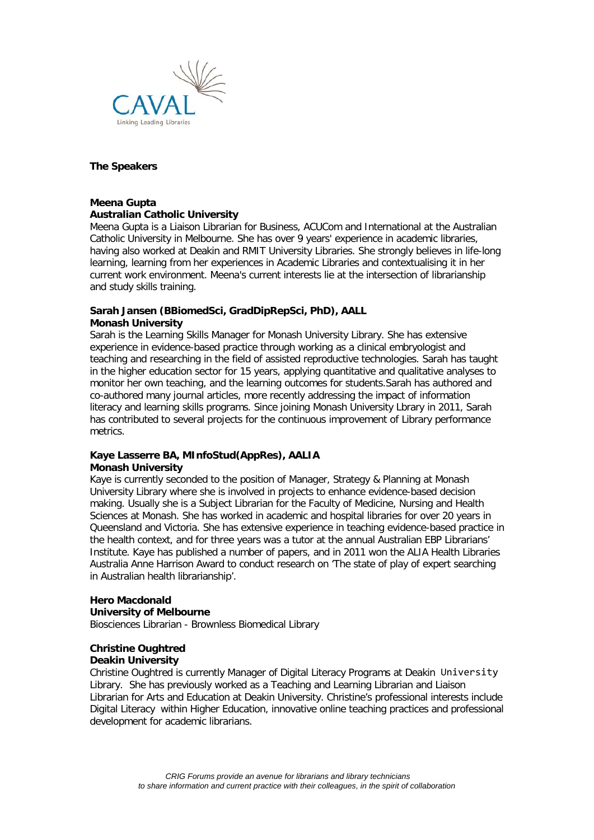

#### **The Speakers**

#### **Meena Gupta**

#### **Australian Catholic University**

Meena Gupta is a Liaison Librarian for Business, ACUCom and International at the Australian Catholic University in Melbourne. She has over 9 years' experience in academic libraries, having also worked at Deakin and RMIT University Libraries. She strongly believes in life-long learning, learning from her experiences in Academic Libraries and contextualising it in her current work environment. Meena's current interests lie at the intersection of librarianship and study skills training.

#### **Sarah Jansen (BBiomedSci, GradDipRepSci, PhD), AALL Monash University**

Sarah is the Learning Skills Manager for Monash University Library. She has extensive experience in evidence-based practice through working as a clinical embryologist and teaching and researching in the field of assisted reproductive technologies. Sarah has taught in the higher education sector for 15 years, applying quantitative and qualitative analyses to monitor her own teaching, and the learning outcomes for students.Sarah has authored and co-authored many journal articles, more recently addressing the impact of information literacy and learning skills programs. Since joining Monash University Lbrary in 2011, Sarah has contributed to several projects for the continuous improvement of Library performance metrics.

#### **Kaye Lasserre BA, MInfoStud(AppRes), AALIA Monash University**

Kaye is currently seconded to the position of Manager, Strategy & Planning at Monash University Library where she is involved in projects to enhance evidence-based decision making. Usually she is a Subject Librarian for the Faculty of Medicine, Nursing and Health Sciences at Monash. She has worked in academic and hospital libraries for over 20 years in Queensland and Victoria. She has extensive experience in teaching evidence-based practice in the health context, and for three years was a tutor at the annual Australian EBP Librarians' Institute. Kaye has published a number of papers, and in 2011 won the ALIA Health Libraries Australia Anne Harrison Award to conduct research on 'The state of play of expert searching in Australian health librarianship'.

## **Hero Macdonald**

#### **University of Melbourne**

Biosciences Librarian - Brownless Biomedical Library

## **Christine Oughtred**

#### **Deakin University**

Christine Oughtred is currently Manager of Digital Literacy Programs at Deakin University Library. She has previously worked as a Teaching and Learning Librarian and Liaison Librarian for Arts and Education at Deakin University. Christine's professional interests include Digital Literacy within Higher Education, innovative online teaching practices and professional development for academic librarians.